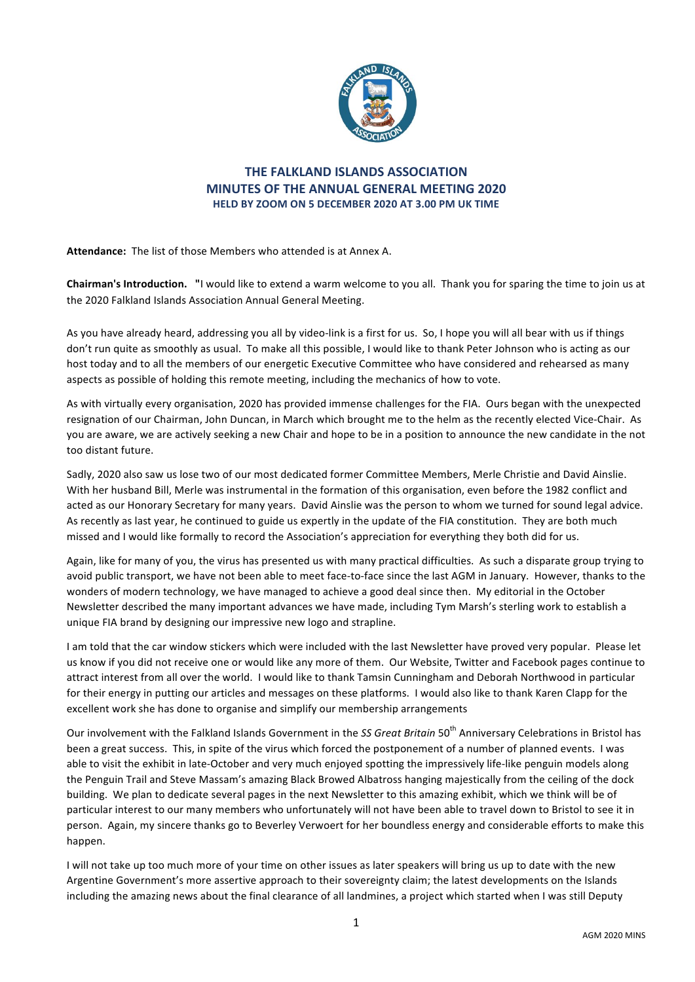

# **THE FALKLAND ISLANDS ASSOCIATION MINUTES OF THE ANNUAL GENERAL MEETING 2020 HELD BY ZOOM ON 5 DECEMBER 2020 AT 3.00 PM UK TIME**

Attendance: The list of those Members who attended is at Annex A.

**Chairman's Introduction.** "I would like to extend a warm welcome to you all. Thank you for sparing the time to join us at the 2020 Falkland Islands Association Annual General Meeting.

As you have already heard, addressing you all by video-link is a first for us. So, I hope you will all bear with us if things don't run quite as smoothly as usual. To make all this possible, I would like to thank Peter Johnson who is acting as our host today and to all the members of our energetic Executive Committee who have considered and rehearsed as many aspects as possible of holding this remote meeting, including the mechanics of how to vote.

As with virtually every organisation, 2020 has provided immense challenges for the FIA. Ours began with the unexpected resignation of our Chairman, John Duncan, in March which brought me to the helm as the recently elected Vice-Chair. As you are aware, we are actively seeking a new Chair and hope to be in a position to announce the new candidate in the not too distant future.

Sadly, 2020 also saw us lose two of our most dedicated former Committee Members, Merle Christie and David Ainslie. With her husband Bill, Merle was instrumental in the formation of this organisation, even before the 1982 conflict and acted as our Honorary Secretary for many years. David Ainslie was the person to whom we turned for sound legal advice. As recently as last year, he continued to guide us expertly in the update of the FIA constitution. They are both much missed and I would like formally to record the Association's appreciation for everything they both did for us.

Again, like for many of you, the virus has presented us with many practical difficulties. As such a disparate group trying to avoid public transport, we have not been able to meet face-to-face since the last AGM in January. However, thanks to the wonders of modern technology, we have managed to achieve a good deal since then. My editorial in the October Newsletter described the many important advances we have made, including Tym Marsh's sterling work to establish a unique FIA brand by designing our impressive new logo and strapline.

I am told that the car window stickers which were included with the last Newsletter have proved very popular. Please let us know if you did not receive one or would like any more of them. Our Website, Twitter and Facebook pages continue to attract interest from all over the world. I would like to thank Tamsin Cunningham and Deborah Northwood in particular for their energy in putting our articles and messages on these platforms. I would also like to thank Karen Clapp for the excellent work she has done to organise and simplify our membership arrangements

Our involvement with the Falkland Islands Government in the *SS Great Britain* 50<sup>th</sup> Anniversary Celebrations in Bristol has been a great success. This, in spite of the virus which forced the postponement of a number of planned events. I was able to visit the exhibit in late-October and very much enjoyed spotting the impressively life-like penguin models along the Penguin Trail and Steve Massam's amazing Black Browed Albatross hanging majestically from the ceiling of the dock building. We plan to dedicate several pages in the next Newsletter to this amazing exhibit, which we think will be of particular interest to our many members who unfortunately will not have been able to travel down to Bristol to see it in person. Again, my sincere thanks go to Beverley Verwoert for her boundless energy and considerable efforts to make this happen.

I will not take up too much more of your time on other issues as later speakers will bring us up to date with the new Argentine Government's more assertive approach to their sovereignty claim; the latest developments on the Islands including the amazing news about the final clearance of all landmines, a project which started when I was still Deputy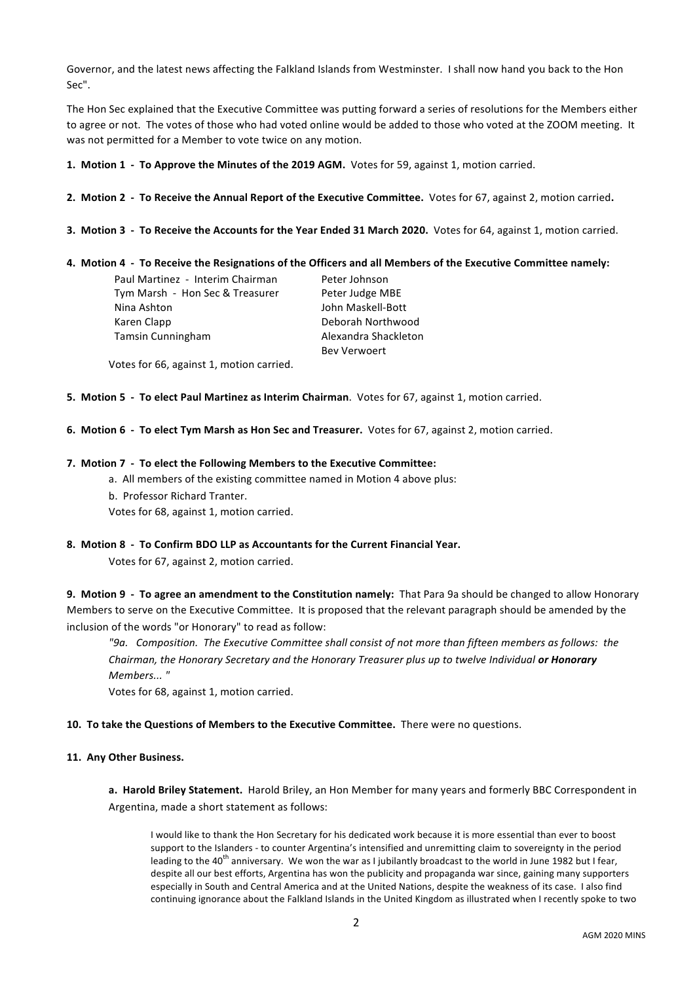Governor, and the latest news affecting the Falkland Islands from Westminster. I shall now hand you back to the Hon Sec".

The Hon Sec explained that the Executive Committee was putting forward a series of resolutions for the Members either to agree or not. The votes of those who had voted online would be added to those who voted at the ZOOM meeting. It was not permitted for a Member to vote twice on any motion.

- **1. Motion 1 To Approve the Minutes of the 2019 AGM.** Votes for 59, against 1, motion carried.
- **2.** Motion 2 To Receive the Annual Report of the Executive Committee. Votes for 67, against 2, motion carried.
- **3.** Motion 3 To Receive the Accounts for the Year Ended 31 March 2020. Votes for 64, against 1, motion carried.

### **4. Motion 4 - To Receive the Resignations of the Officers and all Members of the Executive Committee namely:**

| Paul Martinez - Interim Chairman | Peter Johnson        |
|----------------------------------|----------------------|
| Tym Marsh - Hon Sec & Treasurer  | Peter Judge MBE      |
| Nina Ashton                      | John Maskell-Bott    |
| Karen Clapp                      | Deborah Northwood    |
| Tamsin Cunningham                | Alexandra Shackleton |
|                                  | <b>Bev Verwoert</b>  |

Votes for 66, against 1, motion carried.

- **5.** Motion 5 To elect Paul Martinez as Interim Chairman. Votes for 67, against 1, motion carried.
- **6.** Motion 6 To elect Tym Marsh as Hon Sec and Treasurer. Votes for 67, against 2, motion carried.

#### **7.** Motion 7 - To elect the Following Members to the Executive Committee:

- a. All members of the existing committee named in Motion 4 above plus:
- b. Professor Richard Tranter.

Votes for 68, against 1, motion carried.

8. Motion 8 - To Confirm BDO LLP as Accountants for the Current Financial Year.

Votes for 67, against 2, motion carried.

**9. Motion 9 - To agree an amendment to the Constitution namely:** That Para 9a should be changed to allow Honorary Members to serve on the Executive Committee. It is proposed that the relevant paragraph should be amended by the inclusion of the words "or Honorary" to read as follow:

"9a. Composition. The Executive Committee shall consist of not more than fifteen members as follows: the *Chairman, the Honorary Secretary and the Honorary Treasurer plus up to twelve Individual or Honorary Members... "* 

Votes for 68, against 1, motion carried.

## 10. To take the Questions of Members to the Executive Committee. There were no questions.

### 11. Any Other Business.

**a. Harold Briley Statement.** Harold Briley, an Hon Member for many years and formerly BBC Correspondent in Argentina, made a short statement as follows:

I would like to thank the Hon Secretary for his dedicated work because it is more essential than ever to boost support to the Islanders - to counter Argentina's intensified and unremitting claim to sovereignty in the period leading to the 40<sup>th</sup> anniversary. We won the war as I jubilantly broadcast to the world in June 1982 but I fear, despite all our best efforts, Argentina has won the publicity and propaganda war since, gaining many supporters especially in South and Central America and at the United Nations, despite the weakness of its case. I also find continuing ignorance about the Falkland Islands in the United Kingdom as illustrated when I recently spoke to two